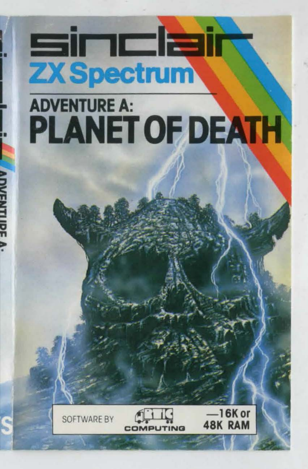## <u>sinclair</u> **ZX Spectrum**

## **ADVENTURE A:** PLANET OF DEATH





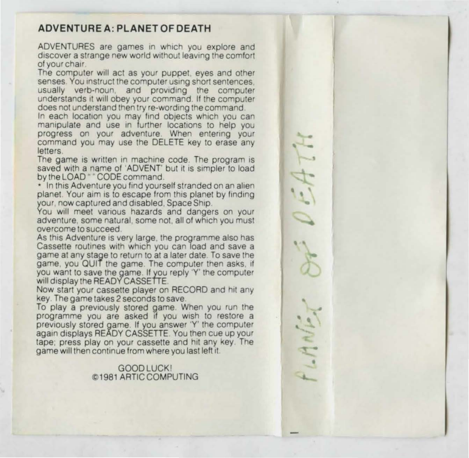## **ADVENTURE A: PLANET OF DEATH**

ADVENTURES are games in which you explore and discover a strange new world without leaving the comfort of your chair

The computer will act as your puppet, eyes and other **senses.** You instruct the computer using short sentences, usually verb-noun, and providing the computer understands it will obey your command. If the computer does not understand then try re-wording the command.<br>In each location you may find objects which you can

manipulate and use in further locations to help you progress on your adventure. When entering your command you may use the DELETE key to erase any letters.

The game is written in machine code. The program is saved with a name of 'ADVENT' but it is simpler to load<br>by the LOAD " "CODE command

\* In this Adventure you find yourself stranded on an alien planet. Your aim is to escape from this planet by finding<br>your, now captured and disabled. Space Ship.

You will meet various hazards and dangers on your **adventure, some natural. some not. all of which you must overcome to succeed** 

As this Adventure is very large, the programme also has Cassette routines with which you can load and save a game at any stage to return to at a later date. To save the game, you QUIT the game. The computer then asks, if you want to save the game. If you reply 'Y' the computer will display the READY CASSETTE

Now start your cassette player on RECORD and hit any key. The game takes 2 seconds to save.<br>To play a previously stored game. When you run the

programme you are asked if you wish to restore a previously stored game. If you answer 'Y' the computer again displays READY CASSETTE You then cue up your tape; press play on your cassette and hit any key. The game will then continue from where you last left it.

## GOOD LUCK! ~1981 ARTICCOMPUTING

-47 . '